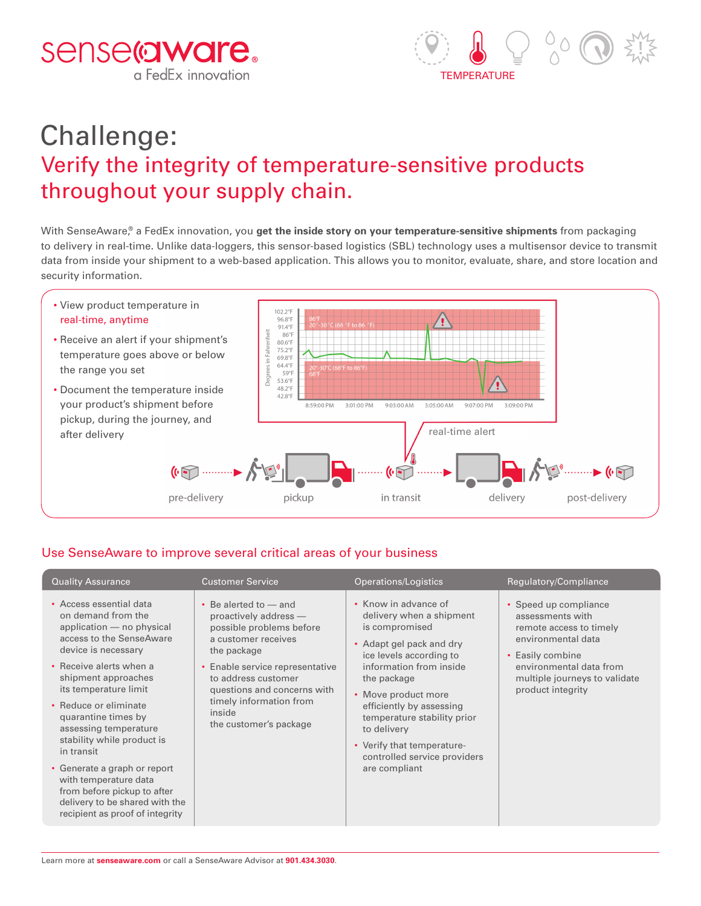



# Challenge: Verify the integrity of temperature-sensitive products throughout your supply chain.

With SenseAware,® a FedEx innovation, you **get the inside story on your temperature-sensitive shipments** from packaging to delivery in real-time. Unlike data-loggers, this sensor-based logistics (SBL) technology uses a multisensor device to transmit data from inside your shipment to a web-based application. This allows you to monitor, evaluate, share, and store location and security information.



## Use SenseAware to improve several critical areas of your business

| <b>Quality Assurance</b>                                                                                                                                                                                                                                                                                                                                                                                                                                                                   | <b>Customer Service</b>                                                                                                                                                                                                                                                          | Operations/Logistics                                                                                                                                                                                                                                                                                                                                | Regulatory/Compliance                                                                                                                                                                           |
|--------------------------------------------------------------------------------------------------------------------------------------------------------------------------------------------------------------------------------------------------------------------------------------------------------------------------------------------------------------------------------------------------------------------------------------------------------------------------------------------|----------------------------------------------------------------------------------------------------------------------------------------------------------------------------------------------------------------------------------------------------------------------------------|-----------------------------------------------------------------------------------------------------------------------------------------------------------------------------------------------------------------------------------------------------------------------------------------------------------------------------------------------------|-------------------------------------------------------------------------------------------------------------------------------------------------------------------------------------------------|
| • Access essential data<br>on demand from the<br>application - no physical<br>access to the SenseAware<br>device is necessary<br>• Receive alerts when a<br>shipment approaches<br>its temperature limit<br>• Reduce or eliminate<br>quarantine times by<br>assessing temperature<br>stability while product is<br>in transit<br>• Generate a graph or report<br>with temperature data<br>from before pickup to after<br>delivery to be shared with the<br>recipient as proof of integrity | $\cdot$ Be alerted to $-$ and<br>proactively address -<br>possible problems before<br>a customer receives<br>the package<br>• Enable service representative<br>to address customer<br>questions and concerns with<br>timely information from<br>inside<br>the customer's package | • Know in advance of<br>delivery when a shipment<br>is compromised<br>• Adapt gel pack and dry<br>ice levels according to<br>information from inside<br>the package<br>• Move product more<br>efficiently by assessing<br>temperature stability prior<br>to delivery<br>• Verify that temperature-<br>controlled service providers<br>are compliant | • Speed up compliance<br>assessments with<br>remote access to timely<br>environmental data<br>• Easily combine<br>environmental data from<br>multiple journeys to validate<br>product integrity |